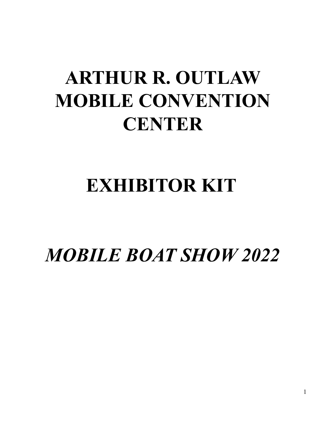# **ARTHUR R. OUTLAW MOBILE CONVENTION CENTER**

## **EXHIBITOR KIT**

*MOBILE BOAT SHOW 2022*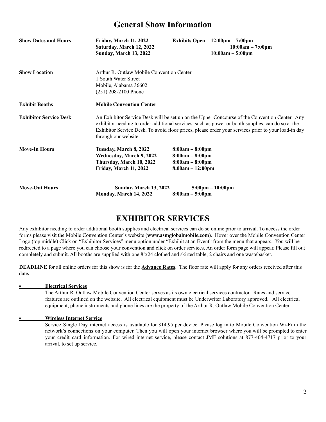## **General Show Information**

| <b>Show Dates and Hours</b>   | Friday, March 11, 2022<br>Saturday, March 12, 2022<br><b>Sunday, March 13, 2022</b>                                                                                                                                                                                                                                               | <b>Exhibits Open</b>                                                              | $12:00 \text{pm} - 7:00 \text{pm}$<br>$10:00am - 7:00pm$<br>$10:00am - 5:00pm$ |
|-------------------------------|-----------------------------------------------------------------------------------------------------------------------------------------------------------------------------------------------------------------------------------------------------------------------------------------------------------------------------------|-----------------------------------------------------------------------------------|--------------------------------------------------------------------------------|
| <b>Show Location</b>          | Arthur R. Outlaw Mobile Convention Center<br>1 South Water Street<br>Mobile, Alabama 36602<br>$(251)$ 208-2100 Phone                                                                                                                                                                                                              |                                                                                   |                                                                                |
| <b>Exhibit Booths</b>         | <b>Mobile Convention Center</b>                                                                                                                                                                                                                                                                                                   |                                                                                   |                                                                                |
| <b>Exhibitor Service Desk</b> | An Exhibitor Service Desk will be set up on the Upper Concourse of the Convention Center. Any<br>exhibitor needing to order additional services, such as power or booth supplies, can do so at the<br>Exhibitor Service Desk. To avoid floor prices, please order your services prior to your load-in day<br>through our website. |                                                                                   |                                                                                |
| <b>Move-In Hours</b>          | Tuesday, March 8, 2022<br>Wednesday, March 9, 2022<br>Thursday, March 10, 2022<br>Friday, March 11, 2022                                                                                                                                                                                                                          | $8:00am - 8:00pm$<br>$8:00am - 8:00pm$<br>$8:00am - 8:00pm$<br>$8:00am - 12:00pm$ |                                                                                |
| <b>Move-Out Hours</b>         | <b>Sunday, March 13, 2022</b><br>Monday, March 14, 2022                                                                                                                                                                                                                                                                           | $8:00am - 5:00pm$                                                                 | $5:00 \text{pm} - 10:00 \text{pm}$                                             |

## **EXHIBITOR SERVICES**

Any exhibitor needing to order additional booth supplies and electrical services can do so online prior to arrival. To access the order forms please visit the Mobile Convention Center's website (**www.asmglobalmobile.com**). Hover over the Mobile Convention Center Logo (top middle) Click on "Exhibitor Services" menu option under "Exhibit at an Event" from the menu that appears. You will be redirected to a page where you can choose your convention and click on order services. An order form page will appear. Please fill out completely and submit. All booths are supplied with one 8'x24 clothed and skirted table, 2 chairs and one wastebasket.

**DEADLINE** for all online orders for this show is for the **Advance Rates**. The floor rate will apply for any orders received after this date**.**

#### ▪ **Electrical Services**

The Arthur R. Outlaw Mobile Convention Center serves as its own electrical services contractor. Rates and service features are outlined on the website. All electrical equipment must be Underwriter Laboratory approved. All electrical equipment, phone instruments and phone lines are the property of the Arthur R. Outlaw Mobile Convention Center.

#### ▪ **Wireless Internet Service**

Service Single Day internet access is available for \$14.95 per device. Please log in to Mobile Convention Wi-Fi in the network's connections on your computer. Then you will open your internet browser where you will be prompted to enter your credit card information. For wired internet service, please contact JMF solutions at 877-404-4717 prior to your arrival, to set up service.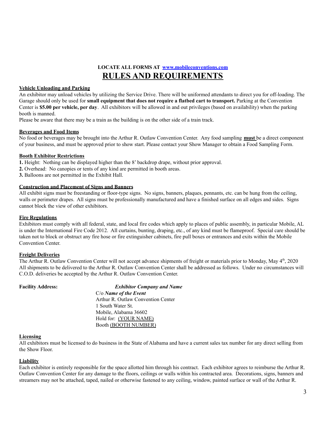### **LOCATE ALL FORMS AT [www.mobileconventions.com](http://www.mobileconventions.com) RULES AND REQUIREMENTS**

#### **Vehicle Unloading and Parking**

An exhibitor may unload vehicles by utilizing the Service Drive. There will be uniformed attendants to direct you for off-loading. The Garage should only be used for **small equipment that does not require a flatbed cart to transport.** Parking at the Convention Center is **\$5.00 per vehicle, per day**. All exhibitors will be allowed in and out privileges (based on availability) when the parking booth is manned.

Please be aware that there may be a train as the building is on the other side of a train track.

#### **Beverages and Food Items**

No food or beverages may be brought into the Arthur R. Outlaw Convention Center. Any food sampling **must** be a direct component of your business, and must be approved prior to show start. Please contact your Show Manager to obtain a Food Sampling Form.

#### **Booth Exhibitor Restrictions**

**1.** Height: Nothing can be displayed higher than the 8' backdrop drape, without prior approval.

- **2.** Overhead: No canopies or tents of any kind are permitted in booth areas.
- **3.** Balloons are not permitted in the Exhibit Hall.

#### **Construction and Placement of Signs and Banners**

All exhibit signs must be freestanding or floor-type signs. No signs, banners, plaques, pennants, etc. can be hung from the ceiling, walls or perimeter drapes. All signs must be professionally manufactured and have a finished surface on all edges and sides. Signs cannot block the view of other exhibitors.

#### **Fire Regulations**

Exhibitors must comply with all federal, state, and local fire codes which apply to places of public assembly, in particular Mobile, AL is under the International Fire Code 2012. All curtains, bunting, draping, etc., of any kind must be flameproof. Special care should be taken not to block or obstruct any fire hose or fire extinguisher cabinets, fire pull boxes or entrances and exits within the Mobile Convention Center.

#### **Freight Deliveries**

The Arthur R. Outlaw Convention Center will not accept advance shipments of freight or materials prior to Monday, May 4<sup>th</sup>, 2020 All shipments to be delivered to the Arthur R. Outlaw Convention Center shall be addressed as follows. Under no circumstances will C.O.D. deliveries be accepted by the Arthur R. Outlaw Convention Center.

| <b>Facility Address:</b> | <b>Exhibitor Company and Name</b>  |  |  |
|--------------------------|------------------------------------|--|--|
|                          | $C/\sigma$ Name of the Event       |  |  |
|                          | Arthur R. Outlaw Convention Center |  |  |
|                          | 1 South Water St.                  |  |  |
|                          | Mobile, Alabama 36602              |  |  |
|                          | Hold for: (YOUR NAME)              |  |  |
|                          | <b>Booth (BOOTH NUMBER)</b>        |  |  |
|                          |                                    |  |  |
|                          |                                    |  |  |

#### **Licensing**

All exhibitors must be licensed to do business in the State of Alabama and have a current sales tax number for any direct selling from the Show Floor.

#### **Liability**

Each exhibitor is entirely responsible for the space allotted him through his contract. Each exhibitor agrees to reimburse the Arthur R. Outlaw Convention Center for any damage to the floors, ceilings or walls within his contracted area. Decorations, signs, banners and streamers may not be attached, taped, nailed or otherwise fastened to any ceiling, window, painted surface or wall of the Arthur R.